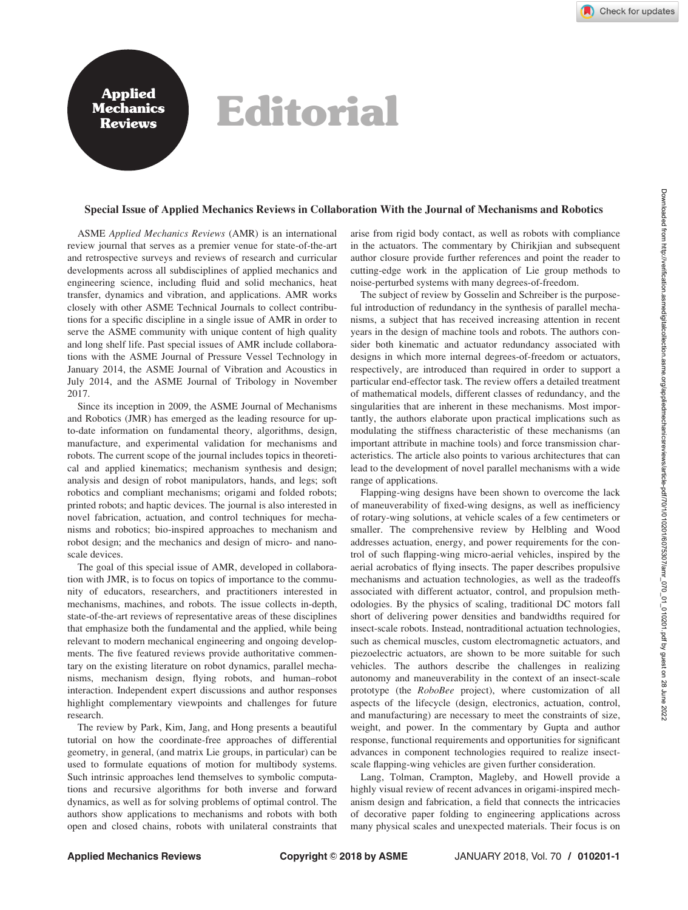## Rephendis Editorial

## Special Issue of Applied Mechanics Reviews in Collaboration With the Journal of Mechanisms and Robotics

ASME Applied Mechanics Reviews (AMR) is an international review journal that serves as a premier venue for state-of-the-art and retrospective surveys and reviews of research and curricular developments across all subdisciplines of applied mechanics and engineering science, including fluid and solid mechanics, heat transfer, dynamics and vibration, and applications. AMR works closely with other ASME Technical Journals to collect contributions for a specific discipline in a single issue of AMR in order to serve the ASME community with unique content of high quality and long shelf life. Past special issues of AMR include collaborations with the ASME Journal of Pressure Vessel Technology in January 2014, the ASME Journal of Vibration and Acoustics in July 2014, and the ASME Journal of Tribology in November 2017.

Since its inception in 2009, the ASME Journal of Mechanisms and Robotics (JMR) has emerged as the leading resource for upto-date information on fundamental theory, algorithms, design, manufacture, and experimental validation for mechanisms and robots. The current scope of the journal includes topics in theoretical and applied kinematics; mechanism synthesis and design; analysis and design of robot manipulators, hands, and legs; soft robotics and compliant mechanisms; origami and folded robots; printed robots; and haptic devices. The journal is also interested in novel fabrication, actuation, and control techniques for mechanisms and robotics; bio-inspired approaches to mechanism and robot design; and the mechanics and design of micro- and nanoscale devices.

The goal of this special issue of AMR, developed in collaboration with JMR, is to focus on topics of importance to the community of educators, researchers, and practitioners interested in mechanisms, machines, and robots. The issue collects in-depth, state-of-the-art reviews of representative areas of these disciplines that emphasize both the fundamental and the applied, while being relevant to modern mechanical engineering and ongoing developments. The five featured reviews provide authoritative commentary on the existing literature on robot dynamics, parallel mechanisms, mechanism design, flying robots, and human–robot interaction. Independent expert discussions and author responses highlight complementary viewpoints and challenges for future research.

The review by Park, Kim, Jang, and Hong presents a beautiful tutorial on how the coordinate-free approaches of differential geometry, in general, (and matrix Lie groups, in particular) can be used to formulate equations of motion for multibody systems. Such intrinsic approaches lend themselves to symbolic computations and recursive algorithms for both inverse and forward dynamics, as well as for solving problems of optimal control. The authors show applications to mechanisms and robots with both open and closed chains, robots with unilateral constraints that arise from rigid body contact, as well as robots with compliance in the actuators. The commentary by Chirikjian and subsequent author closure provide further references and point the reader to cutting-edge work in the application of Lie group methods to noise-perturbed systems with many degrees-of-freedom.

The subject of review by Gosselin and Schreiber is the purposeful introduction of redundancy in the synthesis of parallel mechanisms, a subject that has received increasing attention in recent years in the design of machine tools and robots. The authors consider both kinematic and actuator redundancy associated with designs in which more internal degrees-of-freedom or actuators, respectively, are introduced than required in order to support a particular end-effector task. The review offers a detailed treatment of mathematical models, different classes of redundancy, and the singularities that are inherent in these mechanisms. Most importantly, the authors elaborate upon practical implications such as modulating the stiffness characteristic of these mechanisms (an important attribute in machine tools) and force transmission characteristics. The article also points to various architectures that can lead to the development of novel parallel mechanisms with a wide range of applications.

Flapping-wing designs have been shown to overcome the lack of maneuverability of fixed-wing designs, as well as inefficiency of rotary-wing solutions, at vehicle scales of a few centimeters or smaller. The comprehensive review by Helbling and Wood addresses actuation, energy, and power requirements for the control of such flapping-wing micro-aerial vehicles, inspired by the aerial acrobatics of flying insects. The paper describes propulsive mechanisms and actuation technologies, as well as the tradeoffs associated with different actuator, control, and propulsion methodologies. By the physics of scaling, traditional DC motors fall short of delivering power densities and bandwidths required for insect-scale robots. Instead, nontraditional actuation technologies, such as chemical muscles, custom electromagnetic actuators, and piezoelectric actuators, are shown to be more suitable for such vehicles. The authors describe the challenges in realizing autonomy and maneuverability in the context of an insect-scale prototype (the RoboBee project), where customization of all aspects of the lifecycle (design, electronics, actuation, control, and manufacturing) are necessary to meet the constraints of size, weight, and power. In the commentary by Gupta and author response, functional requirements and opportunities for significant advances in component technologies required to realize insectscale flapping-wing vehicles are given further consideration.

Lang, Tolman, Crampton, Magleby, and Howell provide a highly visual review of recent advances in origami-inspired mechanism design and fabrication, a field that connects the intricacies of decorative paper folding to engineering applications across many physical scales and unexpected materials. Their focus is on